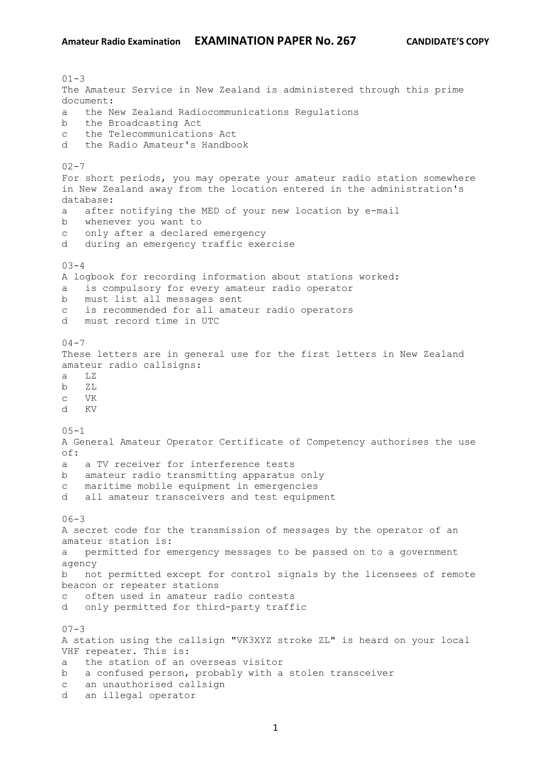$01 - 3$ The Amateur Service in New Zealand is administered through this prime document: a the New Zealand Radiocommunications Regulations b the Broadcasting Act c the Telecommunications Act d the Radio Amateur's Handbook  $02 - 7$ For short periods, you may operate your amateur radio station somewhere in New Zealand away from the location entered in the administration's database: a after notifying the MED of your new location by e-mail b whenever you want to c only after a declared emergency d during an emergency traffic exercise 03-4 A logbook for recording information about stations worked: is compulsory for every amateur radio operator b must list all messages sent c is recommended for all amateur radio operators d must record time in UTC  $04 - 7$ These letters are in general use for the first letters in New Zealand amateur radio callsigns: a LZ b ZL c VK d KV  $05 - 1$ A General Amateur Operator Certificate of Competency authorises the use  $\cap$  f  $\cdot$ a a TV receiver for interference tests b amateur radio transmitting apparatus only c maritime mobile equipment in emergencies d all amateur transceivers and test equipment  $06 - 3$ A secret code for the transmission of messages by the operator of an amateur station is: a permitted for emergency messages to be passed on to a government agency b not permitted except for control signals by the licensees of remote beacon or repeater stations c often used in amateur radio contests d only permitted for third-party traffic  $07 - 3$ A station using the callsign "VK3XYZ stroke ZL" is heard on your local VHF repeater. This is: a the station of an overseas visitor b a confused person, probably with a stolen transceiver c an unauthorised callsign d an illegal operator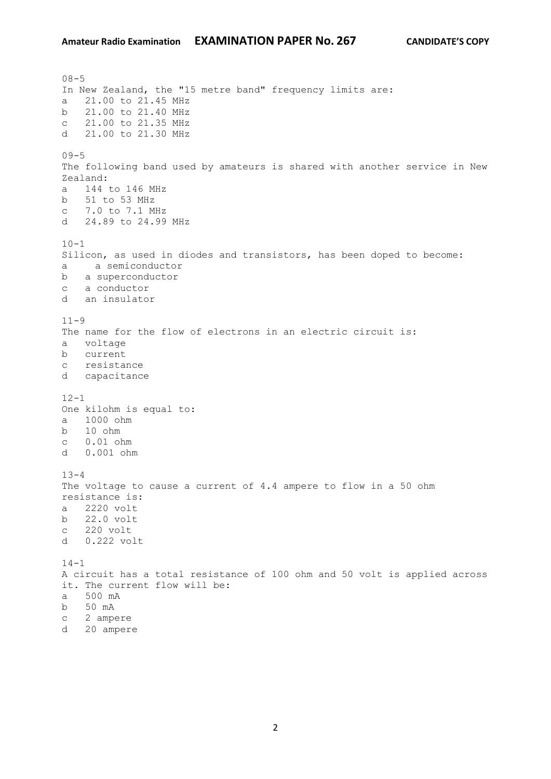$08 - 5$ In New Zealand, the "15 metre band" frequency limits are: a 21.00 to 21.45 MHz b 21.00 to 21.40 MHz c 21.00 to 21.35 MHz d 21.00 to 21.30 MHz  $09 - 5$ The following band used by amateurs is shared with another service in New Zealand: a 144 to 146 MHz b 51 to 53 MHz c 7.0 to 7.1 MHz d 24.89 to 24.99 MHz  $10 - 1$ Silicon, as used in diodes and transistors, has been doped to become: a a semiconductor b a superconductor c a conductor d an insulator  $11 - 9$ The name for the flow of electrons in an electric circuit is: a voltage b current c resistance d capacitance  $12 - 1$ One kilohm is equal to: a 1000 ohm b 10 ohm c 0.01 ohm d 0.001 ohm  $13 - 4$ The voltage to cause a current of 4.4 ampere to flow in a 50 ohm resistance is: a 2220 volt b 22.0 volt c 220 volt d 0.222 volt  $14 - 1$ A circuit has a total resistance of 100 ohm and 50 volt is applied across it. The current flow will be: a 500 mA b 50 mA c 2 ampere d 20 ampere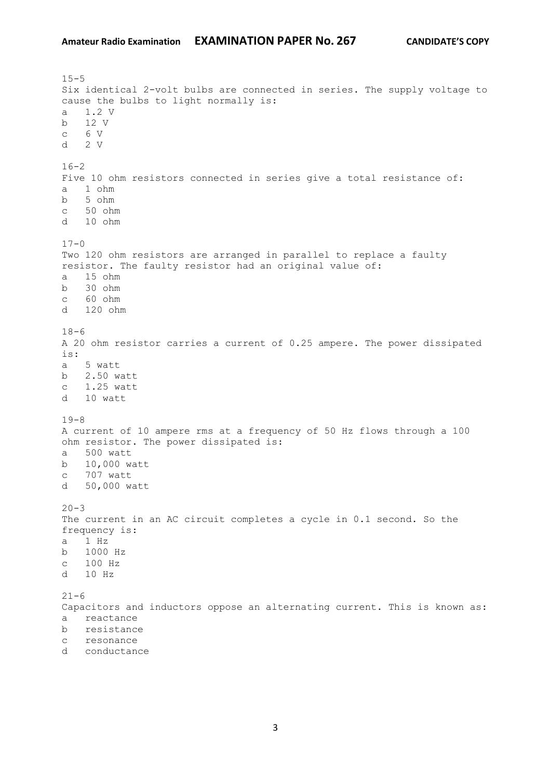$15 - 5$ Six identical 2-volt bulbs are connected in series. The supply voltage to cause the bulbs to light normally is: a 1.2 V b 12 V c 6 V d 2 V  $16 - 2$ Five 10 ohm resistors connected in series give a total resistance of: a 1 ohm b 5 ohm c 50 ohm d 10 ohm  $17 - 0$ Two 120 ohm resistors are arranged in parallel to replace a faulty resistor. The faulty resistor had an original value of: a 15 ohm b 30 ohm c 60 ohm d 120 ohm  $18-6$ A 20 ohm resistor carries a current of 0.25 ampere. The power dissipated is: a 5 watt b 2.50 watt c 1.25 watt d 10 watt 19-8 A current of 10 ampere rms at a frequency of 50 Hz flows through a 100 ohm resistor. The power dissipated is: a 500 watt b 10,000 watt c 707 watt d 50,000 watt  $20 - 3$ The current in an AC circuit completes a cycle in 0.1 second. So the frequency is: a 1 Hz b 1000 Hz c 100 Hz d 10 Hz  $21 - 6$ Capacitors and inductors oppose an alternating current. This is known as: a reactance b resistance c resonance d conductance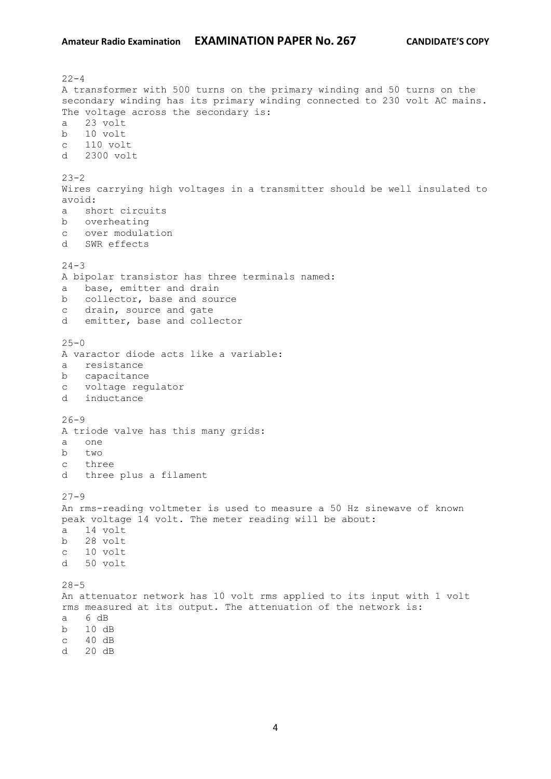$22 - 4$ A transformer with 500 turns on the primary winding and 50 turns on the secondary winding has its primary winding connected to 230 volt AC mains. The voltage across the secondary is: a 23 volt b 10 volt c 110 volt d 2300 volt  $23 - 2$ Wires carrying high voltages in a transmitter should be well insulated to avoid: a short circuits b overheating c over modulation d SWR effects  $24 - 3$ A bipolar transistor has three terminals named: a base, emitter and drain b collector, base and source c drain, source and gate d emitter, base and collector  $25 - 0$ A varactor diode acts like a variable: a resistance b capacitance c voltage regulator d inductance  $26 - 9$ A triode valve has this many grids: a one b  $t_{WQ}$ c three d three plus a filament  $27 - 9$ An rms-reading voltmeter is used to measure a 50 Hz sinewave of known peak voltage 14 volt. The meter reading will be about: a 14 volt b 28 volt c 10 volt d 50 volt  $28 - 5$ An attenuator network has 10 volt rms applied to its input with 1 volt rms measured at its output. The attenuation of the network is: a 6 dB b 10 dB c 40 dB d 20 dB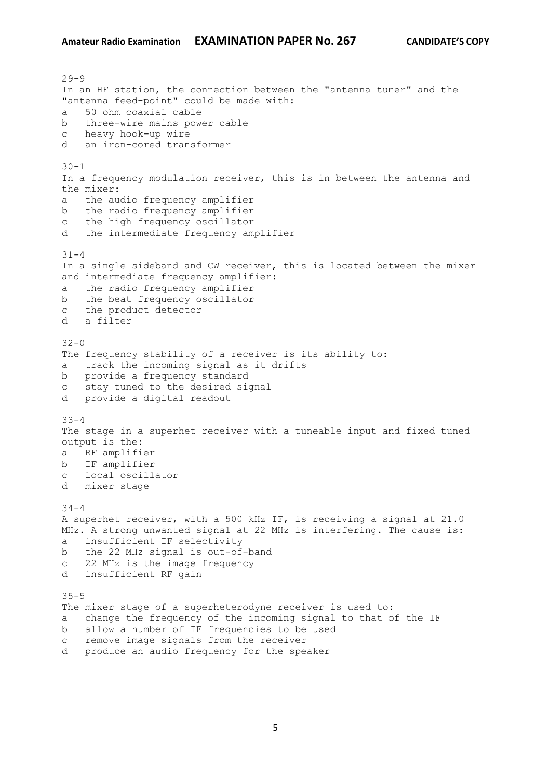$29 - 9$ In an HF station, the connection between the "antenna tuner" and the "antenna feed-point" could be made with: a 50 ohm coaxial cable b three-wire mains power cable c heavy hook-up wire d an iron-cored transformer  $30 - 1$ In a frequency modulation receiver, this is in between the antenna and the mixer: a the audio frequency amplifier b the radio frequency amplifier c the high frequency oscillator d the intermediate frequency amplifier  $31 - 4$ In a single sideband and CW receiver, this is located between the mixer and intermediate frequency amplifier: a the radio frequency amplifier b the beat frequency oscillator c the product detector d a filter  $32 - 0$ The frequency stability of a receiver is its ability to: a track the incoming signal as it drifts b provide a frequency standard c stay tuned to the desired signal d provide a digital readout 33-4 The stage in a superhet receiver with a tuneable input and fixed tuned output is the: a RF amplifier b IF amplifier c local oscillator d mixer stage  $34 - 4$ A superhet receiver, with a 500 kHz IF, is receiving a signal at 21.0 MHz. A strong unwanted signal at 22 MHz is interfering. The cause is: a insufficient IF selectivity b the 22 MHz signal is out-of-band c 22 MHz is the image frequency d insufficient RF gain 35-5 The mixer stage of a superheterodyne receiver is used to: a change the frequency of the incoming signal to that of the IF b allow a number of IF frequencies to be used c remove image signals from the receiver d produce an audio frequency for the speaker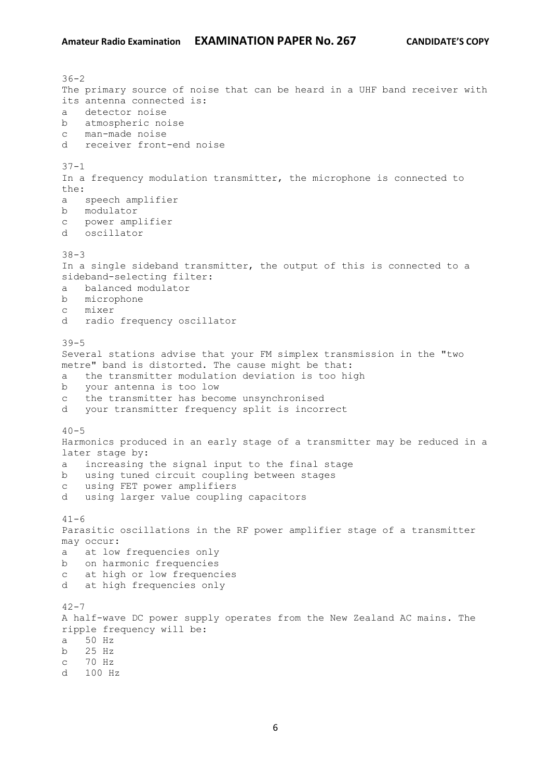$36 - 2$ The primary source of noise that can be heard in a UHF band receiver with its antenna connected is: a detector noise b atmospheric noise c man-made noise d receiver front-end noise  $37 - 1$ In a frequency modulation transmitter, the microphone is connected to the: a speech amplifier b modulator c power amplifier d oscillator 38-3 In a single sideband transmitter, the output of this is connected to a sideband-selecting filter: a balanced modulator b microphone c mixer d radio frequency oscillator 39-5 Several stations advise that your FM simplex transmission in the "two metre" band is distorted. The cause might be that: a the transmitter modulation deviation is too high b your antenna is too low c the transmitter has become unsynchronised d your transmitter frequency split is incorrect  $40 - 5$ Harmonics produced in an early stage of a transmitter may be reduced in a later stage by: a increasing the signal input to the final stage b using tuned circuit coupling between stages c using FET power amplifiers d using larger value coupling capacitors  $41 - 6$ Parasitic oscillations in the RF power amplifier stage of a transmitter may occur: a at low frequencies only b on harmonic frequencies c at high or low frequencies d at high frequencies only  $42 - 7$ A half-wave DC power supply operates from the New Zealand AC mains. The ripple frequency will be: a 50 Hz b 25 Hz c 70 Hz d 100 Hz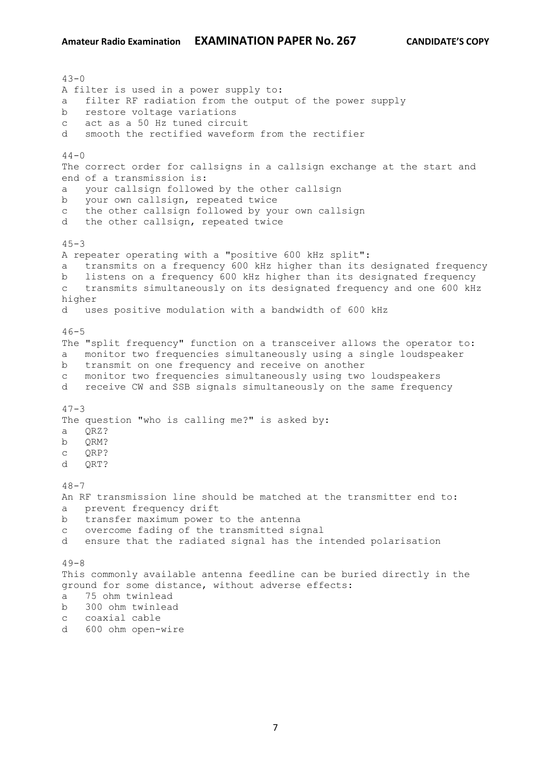$43 - 0$ A filter is used in a power supply to: a filter RF radiation from the output of the power supply b restore voltage variations c act as a 50 Hz tuned circuit d smooth the rectified waveform from the rectifier  $44 - 0$ The correct order for callsigns in a callsign exchange at the start and end of a transmission is: a your callsign followed by the other callsign b your own callsign, repeated twice c the other callsign followed by your own callsign d the other callsign, repeated twice  $45 - 3$ A repeater operating with a "positive 600 kHz split": a transmits on a frequency 600 kHz higher than its designated frequency b listens on a frequency 600 kHz higher than its designated frequency c transmits simultaneously on its designated frequency and one 600 kHz higher d uses positive modulation with a bandwidth of 600 kHz  $46 - 5$ The "split frequency" function on a transceiver allows the operator to: a monitor two frequencies simultaneously using a single loudspeaker b transmit on one frequency and receive on another c monitor two frequencies simultaneously using two loudspeakers d receive CW and SSB signals simultaneously on the same frequency  $47 - 3$ The question "who is calling me?" is asked by: a QRZ? b ORM? c QRP? d QRT?  $48 - 7$ An RF transmission line should be matched at the transmitter end to: a prevent frequency drift b transfer maximum power to the antenna c overcome fading of the transmitted signal d ensure that the radiated signal has the intended polarisation  $49 - 8$ This commonly available antenna feedline can be buried directly in the ground for some distance, without adverse effects: a 75 ohm twinlead b 300 ohm twinlead c coaxial cable

d 600 ohm open-wire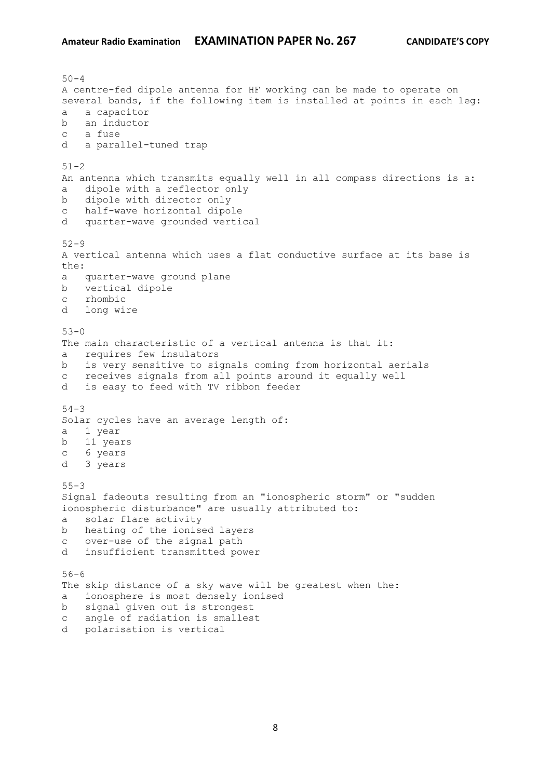$50 - 4$ A centre-fed dipole antenna for HF working can be made to operate on several bands, if the following item is installed at points in each leg: a a capacitor b an inductor c a fuse d a parallel-tuned trap  $51 - 2$ An antenna which transmits equally well in all compass directions is a: a dipole with a reflector only b dipole with director only c half-wave horizontal dipole d quarter-wave grounded vertical 52-9 A vertical antenna which uses a flat conductive surface at its base is the: a quarter-wave ground plane b vertical dipole c rhombic d long wire 53-0 The main characteristic of a vertical antenna is that it: a requires few insulators b is very sensitive to signals coming from horizontal aerials c receives signals from all points around it equally well d is easy to feed with TV ribbon feeder 54-3 Solar cycles have an average length of: a 1 year b 11 years c 6 years d 3 years 55-3 Signal fadeouts resulting from an "ionospheric storm" or "sudden ionospheric disturbance" are usually attributed to: a solar flare activity b heating of the ionised layers c over-use of the signal path d insufficient transmitted power 56-6 The skip distance of a sky wave will be greatest when the: a ionosphere is most densely ionised b signal given out is strongest c angle of radiation is smallest d polarisation is vertical